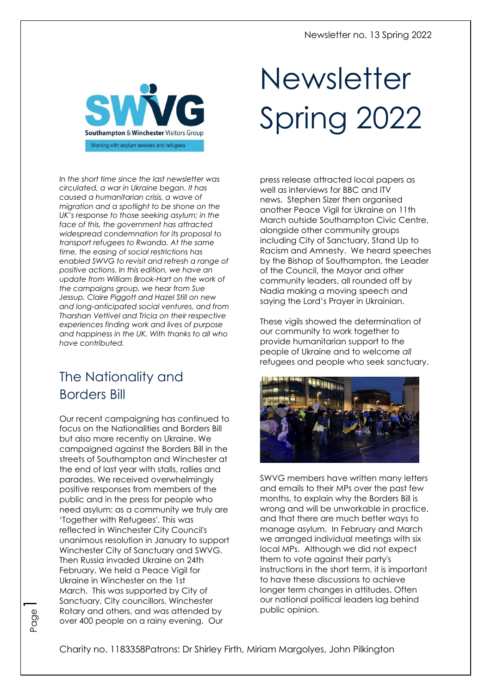

*In the short time since the last newsletter was circulated, a war in Ukraine began. It has caused a humanitarian crisis, a wave of migration and a spotlight to be shone on the UK's response to those seeking asylum; in the face of this, the government has attracted widespread condemnation for its proposal to transport refugees to Rwanda. At the same time, the easing of social restrictions has enabled SWVG to revisit and refresh a range of positive actions. In this edition, we have an update from William Brook-Hart on the work of the campaigns group, we hear from Sue Jessup, Claire Piggott and Hazel Still on new and long-anticipated social ventures, and from Tharshan Vettivel and Tricia on their respective experiences finding work and lives of purpose and happiness in the UK. With thanks to all who have contributed.*

# The Nationality and Borders Bill

Our recent campaigning has continued to focus on the Nationalities and Borders Bill but also more recently on Ukraine. We campaigned against the Borders Bill in the streets of Southampton and Winchester at the end of last year with stalls, rallies and parades. We received overwhelmingly positive responses from members of the public and in the press for people who need asylum: as a community we truly are 'Together with Refugees'. This was reflected in Winchester City Council's unanimous resolution in January to support Winchester City of Sanctuary and SWVG. Then Russia invaded Ukraine on 24th February. We held a Peace Vigil for Ukraine in Winchester on the 1st March. This was supported by City of Sanctuary, City councillors, Winchester Rotary and others, and was attended by over 400 people on a rainy evening. Our

Page1

# Newsletter Spring 2022

press release attracted local papers as well as interviews for BBC and ITV news. Stephen Sizer then organised another Peace Vigil for Ukraine on 11th March outside Southampton Civic Centre, alongside other community groups including City of Sanctuary, Stand Up to Racism and Amnesty. We heard speeches by the Bishop of Southampton, the Leader of the Council, the Mayor and other community leaders, all rounded off by Nadia making a moving speech and saying the Lord's Prayer in Ukrainian.

These vigils showed the determination of our community to work together to provide humanitarian support to the people of Ukraine and to welcome *all* refugees and people who seek sanctuary.



SWVG members have written many letters and emails to their MPs over the past few months, to explain why the Borders Bill is wrong and will be unworkable in practice, and that there are much better ways to manage asylum. In February and March we arranged individual meetings with six local MPs. Although we did not expect them to vote against their party's instructions in the short term, it is important to have these discussions to achieve longer term changes in attitudes. Often our national political leaders lag behind public opinion.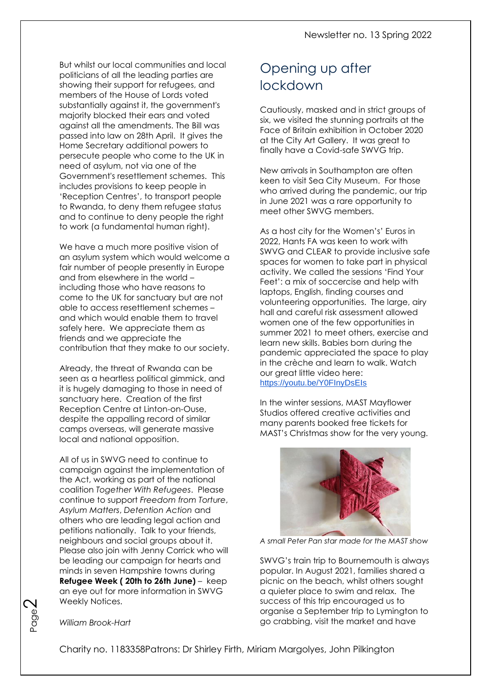But whilst our local communities and local politicians of all the leading parties are showing their support for refugees, and members of the House of Lords voted substantially against it, the government's majority blocked their ears and voted against all the amendments. The Bill was passed into law on 28th April. It gives the Home Secretary additional powers to persecute people who come to the UK in need of asylum, not via one of the Government's resettlement schemes. This includes provisions to keep people in 'Reception Centres', to transport people to Rwanda, to deny them refugee status and to continue to deny people the right to work (a fundamental human right).

We have a much more positive vision of an asylum system which would welcome a fair number of people presently in Europe and from elsewhere in the world – including those who have reasons to come to the UK for sanctuary but are not able to access resettlement schemes – and which would enable them to travel safely here. We appreciate them as friends and we appreciate the contribution that they make to our society.

Already, the threat of Rwanda can be seen as a heartless political gimmick, and it is hugely damaging to those in need of sanctuary here. Creation of the first Reception Centre at Linton-on-Ouse, despite the appalling record of similar camps overseas, will generate massive local and national opposition.

All of us in SWVG need to continue to campaign against the implementation of the Act, working as part of the national coalition *Together With Refugees*. Please continue to support *Freedom from Torture*, *Asylum Matters*, *Detention Action* and others who are leading legal action and petitions nationally. Talk to your friends, neighbours and social groups about it. Please also join with Jenny Corrick who will be leading our campaign for hearts and minds in seven Hampshire towns during **Refugee Week ( 20th to 26th June)** – keep an eye out for more information in SWVG Weekly Notices.

## Opening up after lockdown

Cautiously, masked and in strict groups of six, we visited the stunning portraits at the Face of Britain exhibition in October 2020 at the City Art Gallery. It was great to finally have a Covid-safe SWVG trip.

New arrivals in Southampton are often keen to visit Sea City Museum. For those who arrived during the pandemic, our trip in June 2021 was a rare opportunity to meet other SWVG members.

As a host city for the Women's' Euros in 2022, Hants FA was keen to work with SWVG and CLEAR to provide inclusive safe spaces for women to take part in physical activity. We called the sessions 'Find Your Feet': a mix of soccercise and help with laptops, English, finding courses and volunteering opportunities. The large, airy hall and careful risk assessment allowed women one of the few opportunities in summer 2021 to meet others, exercise and learn new skills. Babies born during the pandemic appreciated the space to play in the crèche and learn to walk. Watch our great little video here: [https://youtu.be/Y0FInyDsEIs](about:blank)

In the winter sessions, MAST Mayflower Studios offered creative activities and many parents booked free tickets for MAST's Christmas show for the very young.



*A small Peter Pan star made for the MAST show*

SWVG's train trip to Bournemouth is always popular. In August 2021, families shared a picnic on the beach, whilst others sought a quieter place to swim and relax. The success of this trip encouraged us to organise a September trip to Lymington to go crabbing, visit the market and have



#### *William Brook-Hart*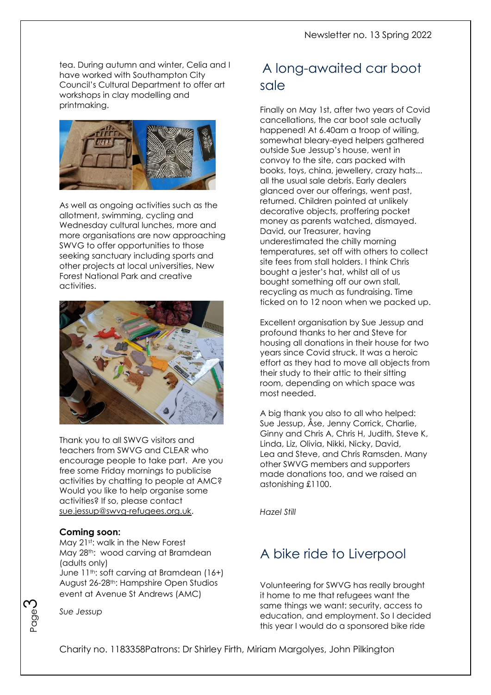tea. During autumn and winter, Celia and I have worked with Southampton City Council's Cultural Department to offer art workshops in clay modelling and printmaking.



As well as ongoing activities such as the allotment, swimming, cycling and Wednesday cultural lunches, more and more organisations are now approaching SWVG to offer opportunities to those seeking sanctuary including sports and other projects at local universities, New Forest National Park and creative activities.



Thank you to all SWVG visitors and teachers from SWVG and CLEAR who encourage people to take part. Are you free some Friday mornings to publicise activities by chatting to people at AMC? Would you like to help organise some activities? If so, please contact [sue.jessup@swvg-refugees.org.uk.](about:blank)

#### **Coming soon:**

May 21st: walk in the New Forest May 28<sup>th</sup>: wood carving at Bramdean (adults only)

June 11<sup>th</sup>: soft carving at Bramdean (16+) August 26-28th: Hampshire Open Studios event at Avenue St Andrews (AMC)



*Sue Jessup*

# A long-awaited car boot sale

Finally on May 1st, after two years of Covid cancellations, the car boot sale actually happened! At 6.40am a troop of willing, somewhat bleary-eyed helpers gathered outside Sue Jessup's house, went in convoy to the site, cars packed with books, toys, china, jewellery, crazy hats... all the usual sale debris. Early dealers glanced over our offerings, went past, returned. Children pointed at unlikely decorative objects, proffering pocket money as parents watched, dismayed. David, our Treasurer, having underestimated the chilly morning temperatures, set off with others to collect site fees from stall holders. I think Chris bought a jester's hat, whilst all of us bought something off our own stall, recycling as much as fundraising. Time ticked on to 12 noon when we packed up.

Excellent organisation by Sue Jessup and profound thanks to her and Steve for housing all donations in their house for two years since Covid struck. It was a heroic effort as they had to move all objects from their study to their attic to their sitting room, depending on which space was most needed.

A big thank you also to all who helped: Sue Jessup, Åse, Jenny Corrick, Charlie, Ginny and Chris A, Chris H, Judith, Steve K, Linda, Liz, Olivia, Nikki, Nicky, David, Lea and Steve, and Chris Ramsden. Many other SWVG members and supporters made donations too, and we raised an astonishing £1100.

*Hazel Still*

# A bike ride to Liverpool

Volunteering for SWVG has really brought it home to me that refugees want the same things we want: security, access to education, and employment. So I decided this year I would do a sponsored bike ride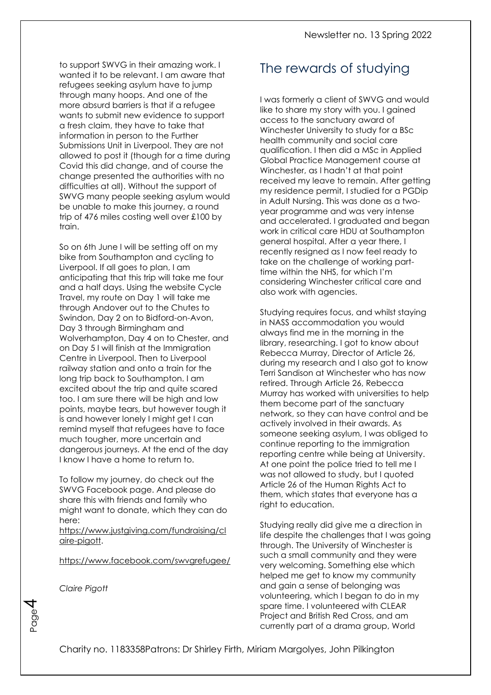to support SWVG in their amazing work. I wanted it to be relevant. I am aware that refugees seeking asylum have to jump through many hoops. And one of the more absurd barriers is that if a refugee wants to submit new evidence to support a fresh claim, they have to take that information in person to the Further Submissions Unit in Liverpool. They are not allowed to post it (though for a time during Covid this did change, and of course the change presented the authorities with no difficulties at all). Without the support of SWVG many people seeking asylum would be unable to make this journey, a round trip of 476 miles costing well over £100 by train.

So on 6th June I will be setting off on my bike from Southampton and cycling to Liverpool. If all goes to plan, I am anticipating that this trip will take me four and a half days. Using the website Cycle Travel, my route on Day 1 will take me through Andover out to the Chutes to Swindon, Day 2 on to Bidford-on-Avon, Day 3 through Birmingham and Wolverhampton, Day 4 on to Chester, and on Day 5 I will finish at the Immigration Centre in Liverpool. Then to Liverpool railway station and onto a train for the long trip back to Southampton. I am excited about the trip and quite scared too. I am sure there will be high and low points, maybe tears, but however tough it is and however lonely I might get I can remind myself that refugees have to face much tougher, more uncertain and dangerous journeys. At the end of the day I know I have a home to return to.

To follow my journey, do check out the SWVG Facebook page. And please do share this with friends and family who might want to donate, which they can do here:

[https://www.justgiving.com/fundraising/cl](about:blank) [aire-pigott.](about:blank)

[https://www.facebook.com/swvgrefugee/](about:blank)

*Claire Pigott*

Page

च

## The rewards of studying

I was formerly a client of SWVG and would like to share my story with you. I gained access to the sanctuary award of Winchester University to study for a BSc health community and social care qualification. I then did a MSc in Applied Global Practice Management course at Winchester, as I hadn't at that point received my leave to remain. After getting my residence permit, I studied for a PGDip in Adult Nursing. This was done as a twoyear programme and was very intense and accelerated. I graduated and began work in critical care HDU at Southampton general hospital. After a year there, I recently resigned as I now feel ready to take on the challenge of working parttime within the NHS, for which I'm considering Winchester critical care and also work with agencies.

Studying requires focus, and whilst staying in NASS accommodation you would always find me in the morning in the library, researching. I got to know about Rebecca Murray, Director of Article 26, during my research and I also got to know Terri Sandison at Winchester who has now retired. Through Article 26, Rebecca Murray has worked with universities to help them become part of the sanctuary network, so they can have control and be actively involved in their awards. As someone seeking asylum, I was obliged to continue reporting to the immigration reporting centre while being at University. At one point the police tried to tell me I was not allowed to study, but I quoted Article 26 of the Human Rights Act to them, which states that everyone has a right to education.

Studying really did give me a direction in life despite the challenges that I was going through. The University of Winchester is such a small community and they were very welcoming. Something else which helped me get to know my community and gain a sense of belonging was volunteering, which I began to do in my spare time. I volunteered with CLEAR Project and British Red Cross, and am currently part of a drama group, World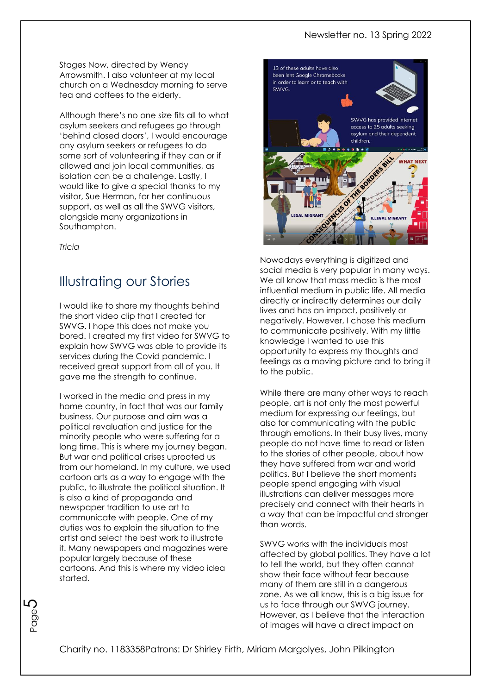#### Newsletter no. 13 Spring 2022

Stages Now, directed by Wendy Arrowsmith. I also volunteer at my local church on a Wednesday morning to serve tea and coffees to the elderly.

Although there's no one size fits all to what asylum seekers and refugees go through 'behind closed doors', I would encourage any asylum seekers or refugees to do some sort of volunteering if they can or if allowed and join local communities, as isolation can be a challenge. Lastly, I would like to give a special thanks to my visitor, Sue Herman, for her continuous support, as well as all the SWVG visitors, alongside many organizations in Southampton.

*Tricia*

## Illustrating our Stories

I would like to share my thoughts behind the short video clip that I created for SWVG. I hope this does not make you bored. I created my first video for SWVG to explain how SWVG was able to provide its services during the Covid pandemic. I received great support from all of you. It gave me the strength to continue.

I worked in the media and press in my home country, in fact that was our family business. Our purpose and aim was a political revaluation and justice for the minority people who were suffering for a long time. This is where my journey began. But war and political crises uprooted us from our homeland. In my culture, we used cartoon arts as a way to engage with the public, to illustrate the political situation. It is also a kind of propaganda and newspaper tradition to use art to communicate with people. One of my duties was to explain the situation to the artist and select the best work to illustrate it. Many newspapers and magazines were popular largely because of these cartoons. And this is where my video idea started.



Nowadays everything is digitized and social media is very popular in many ways. We all know that mass media is the most influential medium in public life. All media directly or indirectly determines our daily lives and has an impact, positively or negatively. However, I chose this medium to communicate positively. With my little knowledge I wanted to use this opportunity to express my thoughts and feelings as a moving picture and to bring it to the public.

While there are many other ways to reach people, art is not only the most powerful medium for expressing our feelings, but also for communicating with the public through emotions. In their busy lives, many people do not have time to read or listen to the stories of other people, about how they have suffered from war and world politics. But I believe the short moments people spend engaging with visual illustrations can deliver messages more precisely and connect with their hearts in a way that can be impactful and stronger than words.

SWVG works with the individuals most affected by global politics. They have a lot to tell the world, but they often cannot show their face without fear because many of them are still in a dangerous zone. As we all know, this is a big issue for us to face through our SWVG journey. However, as I believe that the interaction of images will have a direct impact on

Page ԼՀ